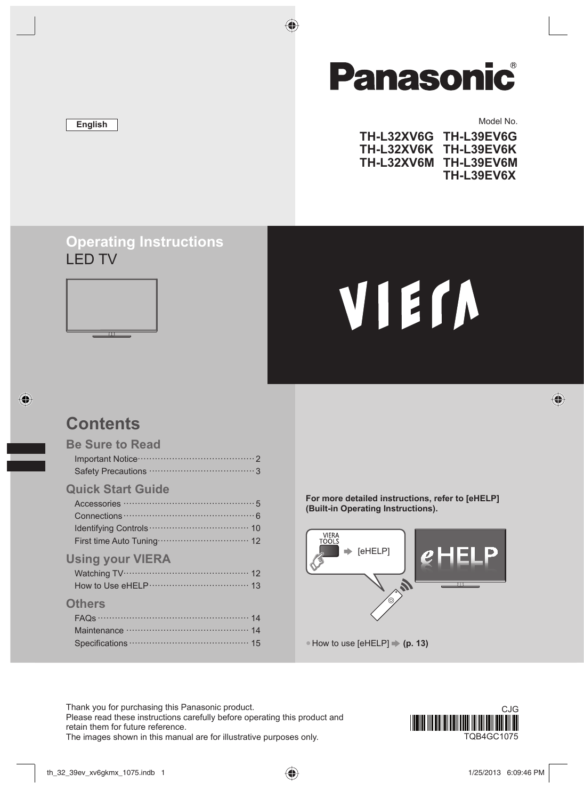# **English**

# **Panasonic**

♦

#### Model No.

 $\bigoplus$ 

| TH-L32XV6G TH-L39EV6G |
|-----------------------|
| TH-L32XV6K TH-L39EV6K |
| <b>TH-L39EV6M</b>     |
| <b>TH-L39EV6X</b>     |
|                       |

# **Operating Instructions** LED TV



# VIErn

# **Contents**

◈

| <b>Be Sure to Read</b> |
|------------------------|
|                        |
|                        |
| Ouick Start Cuido      |

# **Quick Start Guide**

| <b>Using your VIERA</b> |
|-------------------------|

| <b>Others</b> |  |
|---------------|--|

| Maintenance manufactured and 14 |  |
|---------------------------------|--|
|                                 |  |

**For more detailed instructions, refer to [eHELP] (Built-in Operating Instructions).**



Thank you for purchasing this Panasonic product. Please read these instructions carefully before operating this product and retain them for future reference. The images shown in this manual are for illustrative purposes only. The images shown in this manual are for illustrative purposes only.

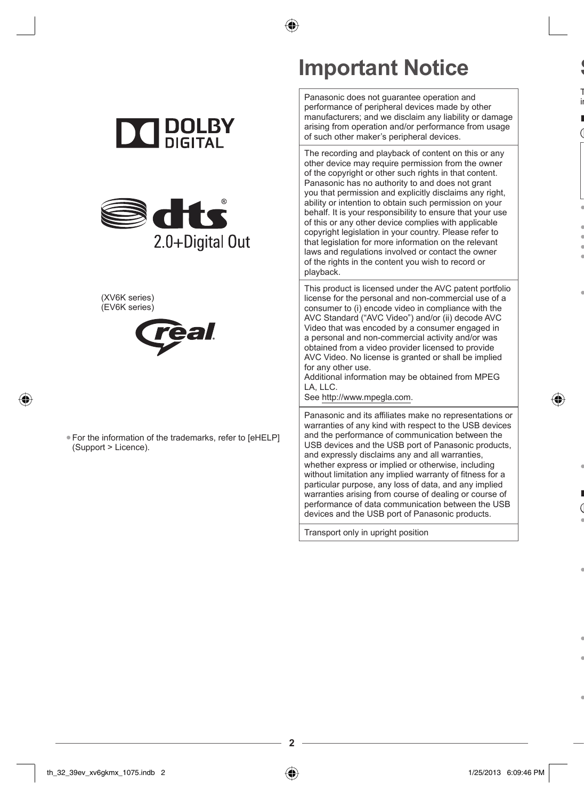

Panasonic does not guarantee operation and performance of peripheral devices made by other manufacturers; and we disclaim any liability or damage arising from operation and/or performance from usage of such other maker's peripheral devices.

**S** T in **■**

● ● ● ● ●

●

●

**■**

●

●

● ●

●

The recording and playback of content on this or any other device may require permission from the owner of the copyright or other such rights in that content. Panasonic has no authority to and does not grant you that permission and explicitly disclaims any right, ability or intention to obtain such permission on your behalf. It is your responsibility to ensure that your use of this or any other device complies with applicable copyright legislation in your country. Please refer to that legislation for more information on the relevant laws and regulations involved or contact the owner of the rights in the content you wish to record or playback.

This product is licensed under the AVC patent portfolio license for the personal and non-commercial use of a consumer to (i) encode video in compliance with the AVC Standard ("AVC Video") and/or (ii) decode AVC Video that was encoded by a consumer engaged in a personal and non-commercial activity and/or was obtained from a video provider licensed to provide AVC Video. No license is granted or shall be implied for any other use.

Additional information may be obtained from MPEG LA, LLC.

See http://www.mpegla.com.

Panasonic and its affiliates make no representations or warranties of any kind with respect to the USB devices and the performance of communication between the USB devices and the USB port of Panasonic products, and expressly disclaims any and all warranties, whether express or implied or otherwise, including without limitation any implied warranty of fitness for a particular purpose, any loss of data, and any implied warranties arising from course of dealing or course of performance of data communication between the USB devices and the USB port of Panasonic products.

Transport only in upright position

**2**

| <b>DOLB</b> |
|-------------|
| DIGITAL     |



#### (XV6K series) (EV6K series)

◈



●For the information of the trademarks, refer to [eHELP] (Support > Licence).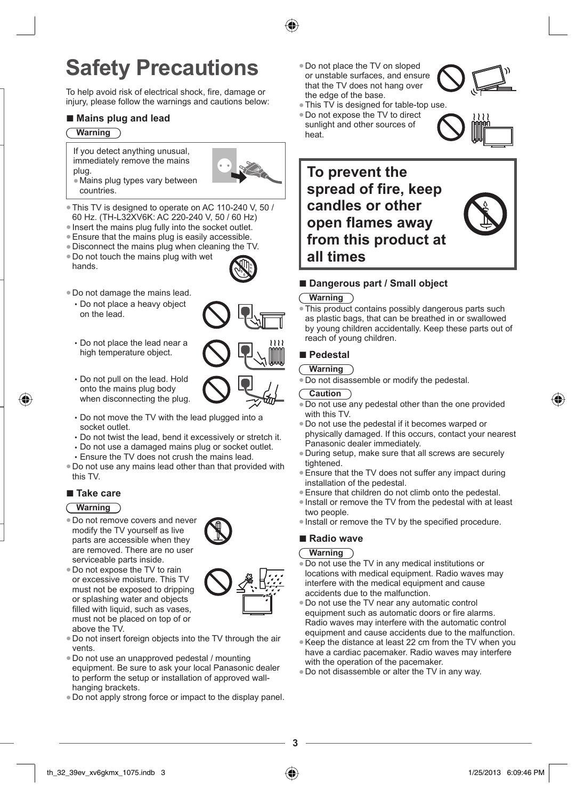# **Safety Precautions**

To help avoid risk of electrical shock, fire, damage or injury, please follow the warnings and cautions below:

# ■ **Mains plug and lead**

#### **Warning**

If you detect anything unusual, immediately remove the mains plug. ●Mains plug types vary between

- countries. ●This TV is designed to operate on AC 110-240 V, 50 /
- 60 Hz. (TH-L32XV6K: AC 220-240 V, 50 / 60 Hz)
- ●Insert the mains plug fully into the socket outlet.
- ●Ensure that the mains plug is easily accessible.
- ●Disconnect the mains plug when cleaning the TV.
- ●Do not touch the mains plug with wet
- hands.



- Do not place a heavy object on the lead.
- Do not place the lead near a high temperature object.
- Do not pull on the lead. Hold onto the mains plug body when disconnecting the plug.
- Do not move the TV with the lead plugged into a socket outlet.
- Do not twist the lead, bend it excessively or stretch it.
- Do not use a damaged mains plug or socket outlet.
- Ensure the TV does not crush the mains lead.
- ●Do not use any mains lead other than that provided with this TV.

# **■ Take care**

# **Warning**

- ●Do not remove covers and never modify the TV yourself as live parts are accessible when they are removed. There are no user serviceable parts inside.
- ●Do not expose the TV to rain or excessive moisture. This TV must not be exposed to dripping or splashing water and objects filled with liquid, such as vases, must not be placed on top of or above the TV.
- ●Do not insert foreign objects into the TV through the air vents.
- ●Do not use an unapproved pedestal / mounting equipment. Be sure to ask your local Panasonic dealer to perform the setup or installation of approved wallhanging brackets.
- ●Do not apply strong force or impact to the display panel.
- ●Do not place the TV on sloped or unstable surfaces, and ensure that the TV does not hang over the edge of the base.
- ●This TV is designed for table-top use.
- ●Do not expose the TV to direct sunlight and other sources of
- heat.



# ■ **Dangerous part / Small object**

### **Warning**

This product contains possibly dangerous parts such as plastic bags, that can be breathed in or swallowed by young children accidentally. Keep these parts out of reach of young children.

### **■ Pedestal**

# **Warning**

. Do not disassemble or modify the pedestal.

# **Caution**

- Do not use any pedestal other than the one provided with this TV.
- ●Do not use the pedestal if it becomes warped or physically damaged. If this occurs, contact your nearest Panasonic dealer immediately.
- ●During setup, make sure that all screws are securely tightened.
- Ensure that the TV does not suffer any impact during installation of the pedestal.
- ●Ensure that children do not climb onto the pedestal.
- ●Install or remove the TV from the pedestal with at least two people.
- ●Install or remove the TV by the specified procedure.

# **■ Radio wave**

### **Warning**

**3**

- Do not use the TV in any medical institutions or locations with medical equipment. Radio waves may interfere with the medical equipment and cause accidents due to the malfunction.
- ●Do not use the TV near any automatic control equipment such as automatic doors or fire alarms. Radio waves may interfere with the automatic control equipment and cause accidents due to the malfunction.
- ●Keep the distance at least 22 cm from the TV when you have a cardiac pacemaker. Radio waves may interfere with the operation of the pacemaker.
- ●Do not disassemble or alter the TV in any way.











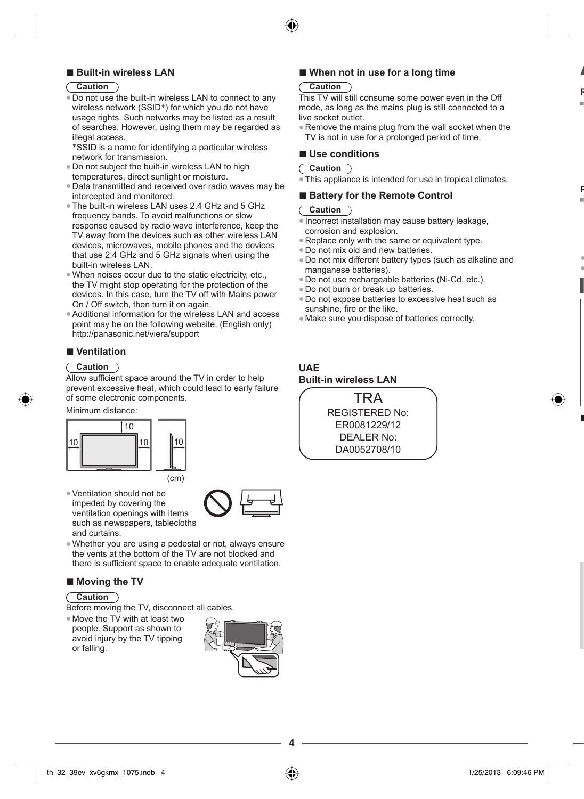

# **■ Built-in wireless LAN**

### **Caution**

- ●Do not use the built-in wireless LAN to connect to any wireless network (SSID\*) for which you do not have usage rights. Such networks may be listed as a result of searches. However, using them may be regarded as illegal access.
- \*SSID is a name for identifying a particular wireless network for transmission.
- ●Do not subject the built-in wireless LAN to high temperatures, direct sunlight or moisture.
- ●Data transmitted and received over radio waves may be intercepted and monitored.
- ●The built-in wireless LAN uses 2.4 GHz and 5 GHz frequency bands. To avoid malfunctions or slow response caused by radio wave interference, keep the TV away from the devices such as other wireless LAN devices, microwaves, mobile phones and the devices that use 2.4 GHz and 5 GHz signals when using the built-in wireless LAN.
- ●When noises occur due to the static electricity, etc., the TV might stop operating for the protection of the devices. In this case, turn the TV off with Mains power On / Off switch, then turn it on again.
- ●Additional information for the wireless LAN and access point may be on the following website. (English only) http://panasonic.net/viera/support

# **■ Ventilation**

#### **Caution**

Allow sufficient space around the TV in order to help prevent excessive heat, which could lead to early failure of some electronic components.

Minimum distance:



●Ventilation should not be impeded by covering the ventilation openings with items such as newspapers, tablecloths



●Whether you are using a pedestal or not, always ensure the vents at the bottom of the TV are not blocked and there is sufficient space to enable adequate ventilation.

### ■ **Moving the TV**

### **Caution**

and curtains.

- Before moving the TV, disconnect all cables.
- ●Move the TV with at least two people. Support as shown to avoid injury by the TV tipping or falling.



**4**

# ■ **When not in use for a long time**

#### **Caution**

This TV will still consume some power even in the Off mode, as long as the mains plug is still connected to a live socket outlet.

**A R**

**P**

● ●

**■**

●Remove the mains plug from the wall socket when the TV is not in use for a prolonged period of time.

#### **■ Use conditions**

#### **Caution**

 $\overline{\text{This appliance}}$  is intended for use in tropical climates.

### ■ **Battery for the Remote Control**

#### **Caution**

- ●Incorrect installation may cause battery leakage, corrosion and explosion.
- Replace only with the same or equivalent type.
- . Do not mix old and new batteries.
- ●Do not mix different battery types (such as alkaline and manganese batteries).
- ●Do not use rechargeable batteries (Ni-Cd, etc.).
- ●Do not burn or break up batteries.
- ●Do not expose batteries to excessive heat such as sunshine, fire or the like.
- ●Make sure you dispose of batteries correctly.

# **UAE Built-in wireless LAN**

TRA REGISTERED No: ER0081229/12 DEALER No: DA0052708/10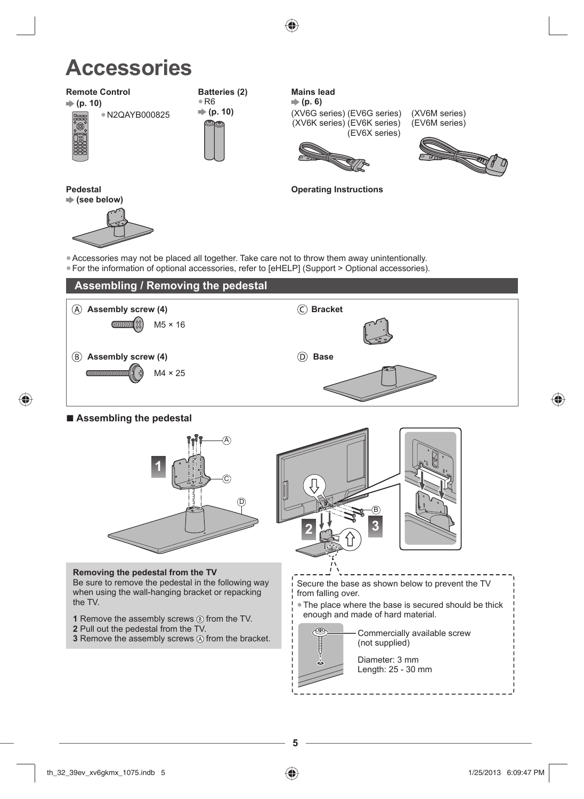

# **Accessories**

# **Remote Control**

 **(p. 10)** ●N2QAYB000825



◈



**Batteries (2)**

**Mains lead (p. 6)** (XV6G series) (EV6G series) (XV6K series) (EV6K series) (EV6X series)

(XV6M series) (EV6M series)



**Pedestal (see below)**



**Operating Instructions**

●Accessories may not be placed all together. Take care not to throw them away unintentionally. ●For the information of optional accessories, refer to [eHELP] (Support > Optional accessories).



■ **Assembling the pedestal** 



**Removing the pedestal from the TV**

Be sure to remove the pedestal in the following way when using the wall-hanging bracket or repacking the TV.

- **1** Remove the assembly screws  $\circledB$  from the TV.
- **2** Pull out the pedestal from the TV.
- **3** Remove the assembly screws  $\textcircled{a}$  from the bracket.



Secure the base as shown below to prevent the TV from falling over.

●The place where the base is secured should be thick enough and made of hard material.



Commercially available screw (not supplied) Diameter: 3 mm Length: 25 - 30 mm



**5**

⊕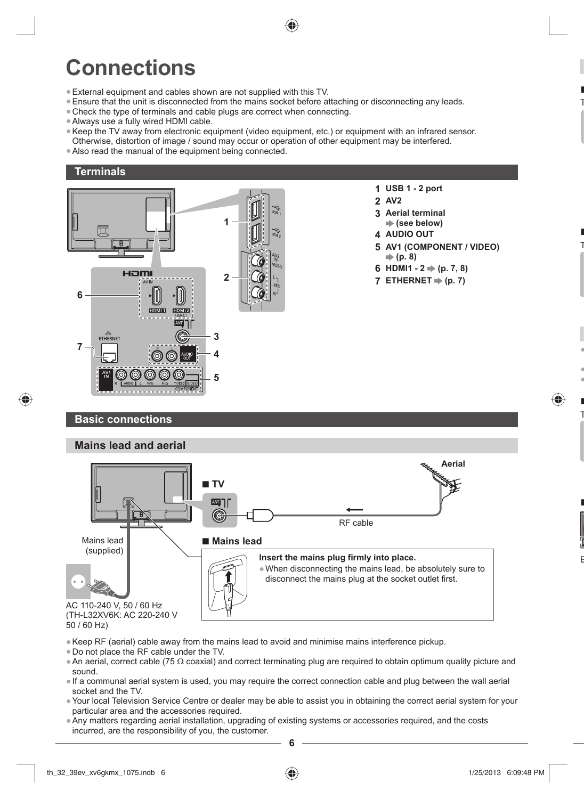

# **Connections**

- ●External equipment and cables shown are not supplied with this TV.
- ●Ensure that the unit is disconnected from the mains socket before attaching or disconnecting any leads.
- Check the type of terminals and cable plugs are correct when connecting.
- ●Always use a fully wired HDMI cable.
- ●Keep the TV away from electronic equipment (video equipment, etc.) or equipment with an infrared sensor. Otherwise, distortion of image / sound may occur or operation of other equipment may be interfered.
- ●Also read the manual of the equipment being connected.

# **Terminals**



- **1 USB 1 2 port**
- **2 AV2**
- **3 Aerial terminal (see below)**
- **4 AUDIO OUT**
- **5 AV1 (COMPONENT / VIDEO) (p. 8)**

**■** T

**■** T

● ● ● **■** T

♠

**■**

B

- **6 HDMI1**  $2 \neq (p. 7, 8)$
- **7 ETHERNET**  $\Rightarrow$  (p. 7)

# **Basic connections**

♠



50 / 60 Hz)

- ●Keep RF (aerial) cable away from the mains lead to avoid and minimise mains interference pickup.
- ●Do not place the RF cable under the TV.
- ●An aerial, correct cable (75 Ω coaxial) and correct terminating plug are required to obtain optimum quality picture and sound.
- ●If a communal aerial system is used, you may require the correct connection cable and plug between the wall aerial socket and the TV.
- ●Your local Television Service Centre or dealer may be able to assist you in obtaining the correct aerial system for your particular area and the accessories required.
- ●Any matters regarding aerial installation, upgrading of existing systems or accessories required, and the costs incurred, are the responsibility of you, the customer.

**6**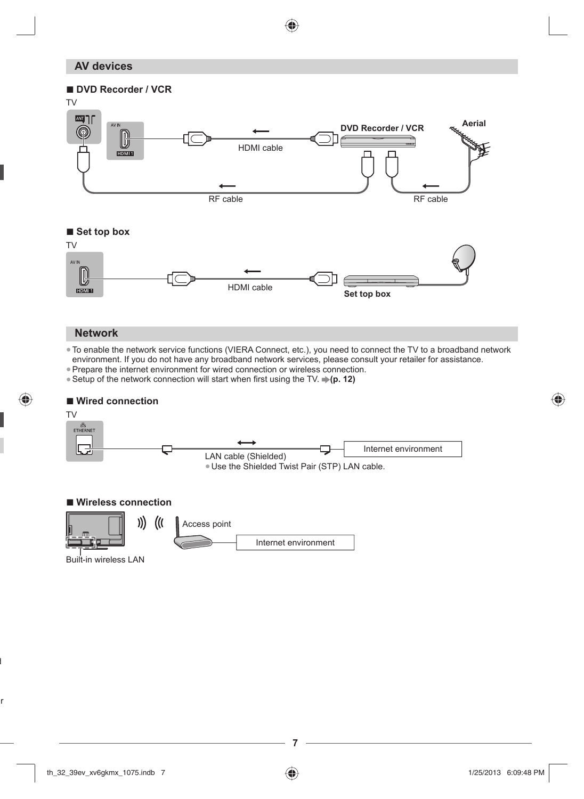# **AV devices**



♠

# **Network**

●To enable the network service functions (VIERA Connect, etc.), you need to connect the TV to a broadband network environment. If you do not have any broadband network services, please consult your retailer for assistance.

- ●Prepare the internet environment for wired connection or wireless connection.
- Setup of the network connection will start when first using the TV. **→ (p. 12)**

# **■ Wired connection**



#### **■ Wireless connection**



Built-in wireless LAN

d

◈

ur

♠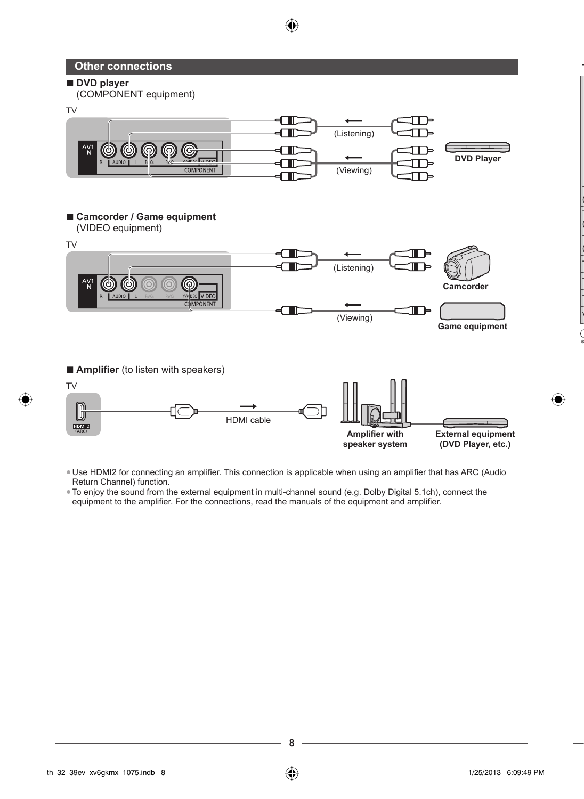# **Other connections**

### **■ DVD player**

(COMPONENT equipment)



♠

# ■ **Camcorder / Game equipment**

(VIDEO equipment)



■ **Amplifier** (to listen with speakers)



●Use HDMI2 for connecting an amplifier. This connection is applicable when using an amplifier that has ARC (Audio Return Channel) function.

●To enjoy the sound from the external equipment in multi-channel sound (e.g. Dolby Digital 5.1ch), connect the equipment to the amplifier. For the connections, read the manuals of the equipment and amplifier.





**T**

T ( T ( T ( T T T V

\*

◈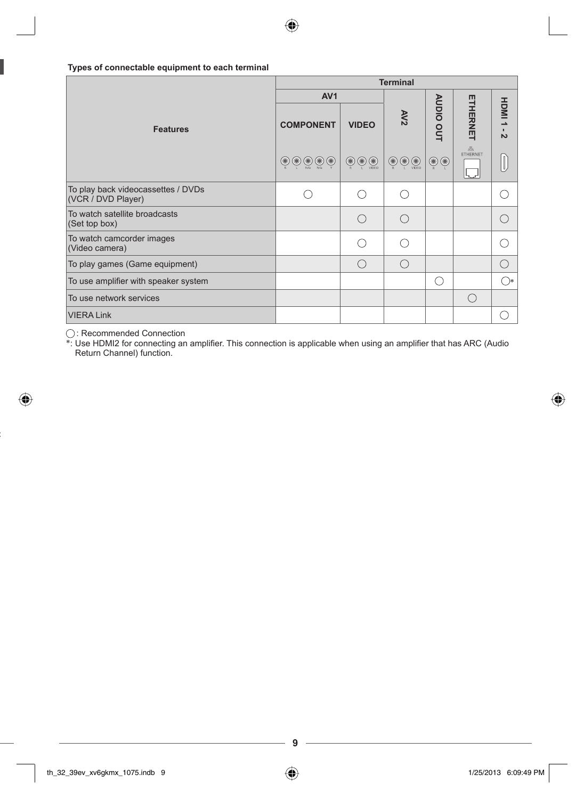# **Types of connectable equipment to each terminal**

|                                                          | <b>Terminal</b>                                    |                                                                                                                |                                 |                |               |                         |  |  |  |
|----------------------------------------------------------|----------------------------------------------------|----------------------------------------------------------------------------------------------------------------|---------------------------------|----------------|---------------|-------------------------|--|--|--|
|                                                          | AV <sub>1</sub>                                    |                                                                                                                |                                 |                |               |                         |  |  |  |
| <b>Features</b>                                          | <b>COMPONENT</b>                                   | <b>VIDEO</b>                                                                                                   | AV2                             | AUDIO OUT      | ETHERNET      | HDMI1<br>$\overline{v}$ |  |  |  |
|                                                          | $\circledcirc$<br>$\circledcirc$<br>$\circledcirc$ | $\bigcircled{\scriptstyle\circledcirc}\bigcirc\bigcirc\limits_{\scriptscriptstyle\vee\!\mid\!\in\!\mathbb{C}}$ | $\bigcircledcirc$<br>$_{\odot}$ | $\circledcirc$ | 롦<br>ETHERNET |                         |  |  |  |
| To play back videocassettes / DVDs<br>(VCR / DVD Player) |                                                    | ∩                                                                                                              | ⌒                               |                |               |                         |  |  |  |
| To watch satellite broadcasts<br>(Set top box)           |                                                    | $\subset$                                                                                                      | ⌒                               |                |               |                         |  |  |  |
| To watch camcorder images<br>(Video camera)              |                                                    |                                                                                                                |                                 |                |               |                         |  |  |  |
| To play games (Game equipment)                           |                                                    | ∩                                                                                                              | ∩                               |                |               | ∩                       |  |  |  |
| To use amplifier with speaker system                     |                                                    |                                                                                                                |                                 | ∩              |               | $\bigcirc$              |  |  |  |
| To use network services                                  |                                                    |                                                                                                                |                                 |                | ∩             |                         |  |  |  |
| <b>VIERA Link</b>                                        |                                                    |                                                                                                                |                                 |                |               | ⊖                       |  |  |  |

⊕

◈

◯ : Recommended Connection<br>\*: Use HDMI2 for connecting an amplifier. This connection is applicable when using an amplifier that has ARC (Audio Return Channel) function.

**9**

◈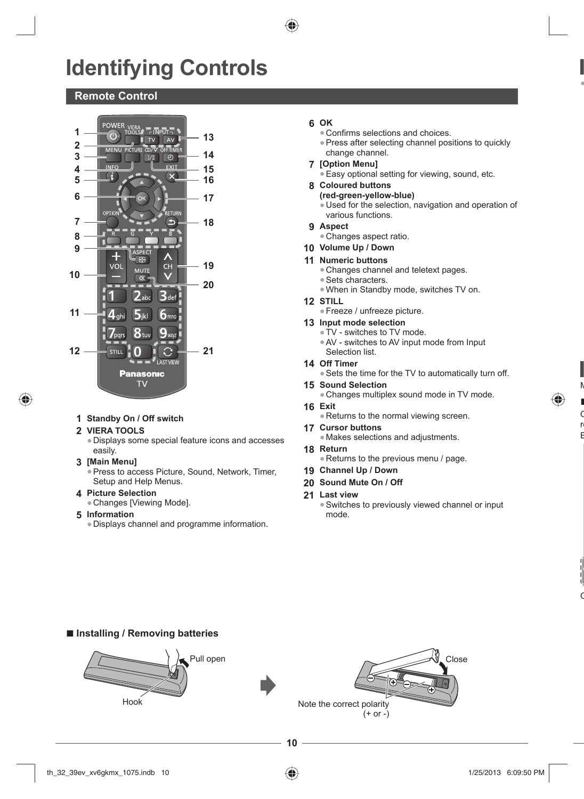# **Identifying Controls**

# **Remote Control**



- **1 Standby On / Off switch**
- **2 VIERA TOOLS**

♠

- ●Displays some special feature icons and accesses easily.
- **3 [Main Menu]**
	- Press to access Picture, Sound, Network, Timer, Setup and Help Menus.
- **4 Picture Selection**
	- ●Changes [Viewing Mode].
- **5 Information**
	- ●Displays channel and programme information.

# **6 OK**

- ●Confirms selections and choices.
- ●Press after selecting channel positions to quickly change channel.

●

M **■**  $\mathsf{C}$ re E

⊕

 $\mathsf{C}$ 

- **7 [Option Menu]**
	- **Easy optional setting for viewing, sound, etc.**
- **8 Coloured buttons**
	- **(red-green-yellow-blue)** ●Used for the selection, navigation and operation of
	- various functions.
- **9 Aspect**
	- ●Changes aspect ratio.
- **10 Volume Up / Down**

#### **11 Numeric buttons**

- Changes channel and teletext pages.
- Sets characters.
- ●When in Standby mode, switches TV on.
- **12 STILL**
	- ●Freeze / unfreeze picture.

#### **13 Input mode selection**

- ●TV switches to TV mode.
- ●AV switches to AV input mode from Input
- Selection list.
- **14 Off Timer**
	- ●Sets the time for the TV to automatically turn off.
- **15 Sound Selection**
- Changes multiplex sound mode in TV mode.
- **16 Exit** ●Returns to the normal viewing screen.
- **17 Cursor buttons**
- ●Makes selections and adjustments.
- **18 Return**
	- ●Returns to the previous menu / page.
- **19 Channel Up / Down**
- **20 Sound Mute On / Off**
- **21 Last view**
	- ●Switches to previously viewed channel or input mode.

# **■ Installing / Removing batteries**

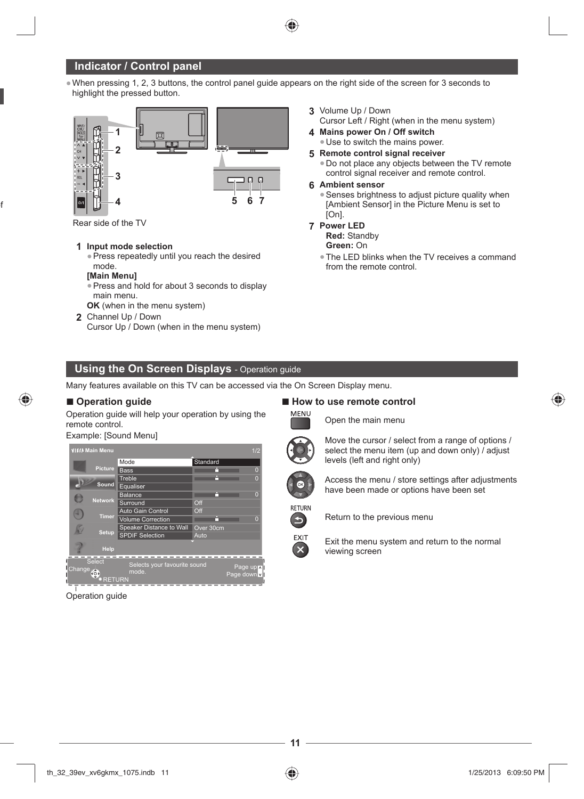# **Indicator / Control panel**

●When pressing 1, 2, 3 buttons, the control panel guide appears on the right side of the screen for 3 seconds to highlight the pressed button.



Rear side of the TV

of

⊕

# **1 Input mode selection**

• Press repeatedly until you reach the desired mode.

#### **[Main Menu]**

- ●Press and hold for about 3 seconds to display main menu.
- **OK** (when in the menu system)
- **2** Channel Up / Down Cursor Up / Down (when in the menu system)
- **3** Volume Up / Down
- Cursor Left / Right (when in the menu system) **4 Mains power On / Off switch**
	- ●Use to switch the mains power.
- **5 Remote control signal receiver**
	- ●Do not place any objects between the TV remote control signal receiver and remote control.

#### **6 Ambient sensor**

• Senses brightness to adjust picture quality when [Ambient Sensor] in the Picture Menu is set to [On].

#### **7 Power LED**

**Red:** Standby

**Green:** On

●The LED blinks when the TV receives a command from the remote control.

# **Using the On Screen Displays** - Operation guide

Many features available on this TV can be accessed via the On Screen Display menu.

## **■ Operation guide**

Operation guide will help your operation by using the remote control.

### Example: [Sound Menu]



Operation guide

■ **How to use remote control MENU** 

Open the main menu

levels (left and right only)



Move the cursor / select from a range of options / select the menu item (up and down only) / adjust

Access the menu / store settings after adjustments have been made or options have been set



EXIT

Return to the previous menu





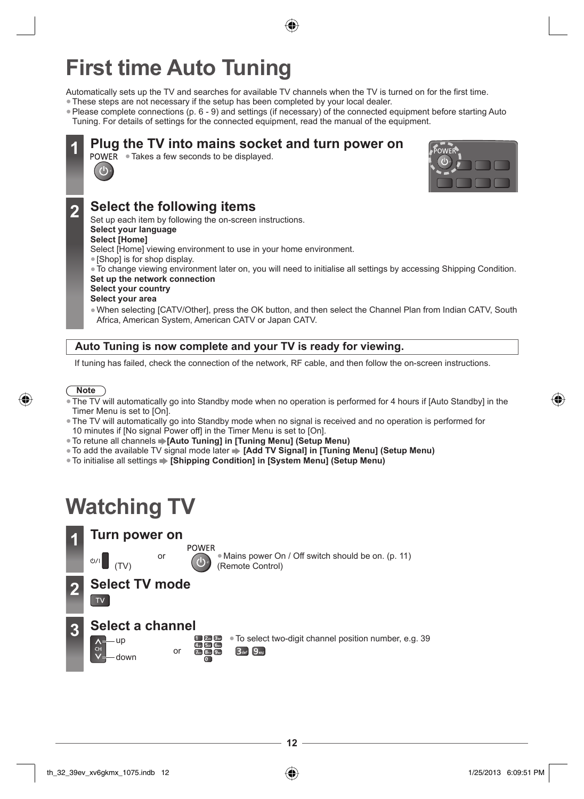# **First time Auto Tuning**

Automatically sets up the TV and searches for available TV channels when the TV is turned on for the first time.

- ●These steps are not necessary if the setup has been completed by your local dealer.
- ●Please complete connections (p. 6 9) and settings (if necessary) of the connected equipment before starting Auto Tuning. For details of settings for the connected equipment, read the manual of the equipment.

# **10 Plug the TV into mains socket and turn power on** POWER • Takes a few seconds to be displayed.



# **2 Select the following items**

Set up each item by following the on-screen instructions. **Select your language**

# **Select [Home]**

 $\mathbf{d}$ 

- Select [Home] viewing environment to use in your home environment.
- ●[Shop] is for shop display.
- ●To change viewing environment later on, you will need to initialise all settings by accessing Shipping Condition.

# **Set up the network connection**

# **Select your country**

- **Select your area**
- ●When selecting [CATV/Other], press the OK button, and then select the Channel Plan from Indian CATV, South Africa, American System, American CATV or Japan CATV.

# **Auto Tuning is now complete and your TV is ready for viewing.**

If tuning has failed, check the connection of the network, RF cable, and then follow the on-screen instructions.



# **Note**

- The TV will automatically go into Standby mode when no operation is performed for 4 hours if [Auto Standby] in the Timer Menu is set to [On].
- ●The TV will automatically go into Standby mode when no signal is received and no operation is performed for 10 minutes if [No signal Power off] in the Timer Menu is set to [On].
- ●To retune all channels **[Auto Tuning] in [Tuning Menu] (Setup Menu)**
- ●To add the available TV signal mode later **[Add TV Signal] in [Tuning Menu] (Setup Menu)**
- ●To initialise all settings **[Shipping Condition] in [System Menu] (Setup Menu)**

# **Watching TV**

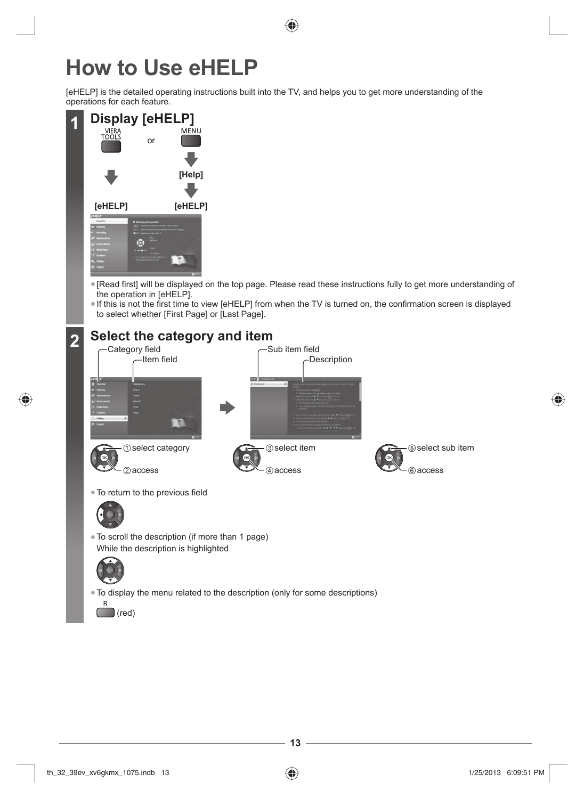# **How to Use eHELP**

[eHELP] is the detailed operating instructions built into the TV, and helps you to get more understanding of the operations for each feature.



- ●[Read first] will be displayed on the top page. Please read these instructions fully to get more understanding of the operation in [eHELP].
- ●If this is not the first time to view [eHELP] from when the TV is turned on, the confirmation screen is displayed to select whether [First Page] or [Last Page].

# **2 Select the category and item**



●To display the menu related to the description (only for some descriptions)



◈

⊕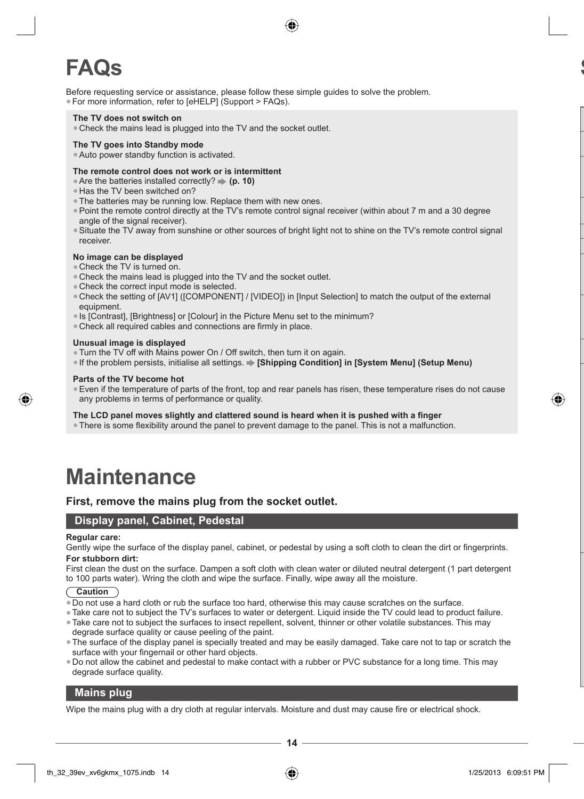

# **FAQs**

Before requesting service or assistance, please follow these simple guides to solve the problem. ●For more information, refer to [eHELP] (Support > FAQs).

#### **The TV does not switch on**

• Check the mains lead is plugged into the TV and the socket outlet.

#### **The TV goes into Standby mode**

●Auto power standby function is activated.

#### **The remote control does not work or is intermittent**

- Are the batteries installed correctly? **→ (p. 10)**
- ●Has the TV been switched on?
- ●The batteries may be running low. Replace them with new ones.
- ●Point the remote control directly at the TV's remote control signal receiver (within about 7 m and a 30 degree angle of the signal receiver).
- ●Situate the TV away from sunshine or other sources of bright light not to shine on the TV's remote control signal receiver.

#### **No image can be displayed**

- ●Check the TV is turned on.
- Check the mains lead is plugged into the TV and the socket outlet.
- Check the correct input mode is selected.
- ●Check the setting of [AV1] ([COMPONENT] / [VIDEO]) in [Input Selection] to match the output of the external equipment.
- ●Is [Contrast], [Brightness] or [Colour] in the Picture Menu set to the minimum?
- Check all required cables and connections are firmly in place.

#### **Unusual image is displayed**

- ●Turn the TV off with Mains power On / Off switch, then turn it on again.
- ●If the problem persists, initialise all settings. **[Shipping Condition] in [System Menu] (Setup Menu)**

#### **Parts of the TV become hot**

●Even if the temperature of parts of the front, top and rear panels has risen, these temperature rises do not cause any problems in terms of performance or quality.

**The LCD panel moves slightly and clattered sound is heard when it is pushed with a finger**

●There is some flexibility around the panel to prevent damage to the panel. This is not a malfunction.

# **Maintenance**

# **First, remove the mains plug from the socket outlet.**

# **Display panel, Cabinet, Pedestal**

#### **Regular care:**

Gently wipe the surface of the display panel, cabinet, or pedestal by using a soft cloth to clean the dirt or fingerprints. **For stubborn dirt:**

First clean the dust on the surface. Dampen a soft cloth with clean water or diluted neutral detergent (1 part detergent to 100 parts water). Wring the cloth and wipe the surface. Finally, wipe away all the moisture.

**Caution**

- ●Do not use a hard cloth or rub the surface too hard, otherwise this may cause scratches on the surface.
- ●Take care not to subject the TV's surfaces to water or detergent. Liquid inside the TV could lead to product failure.
- ●Take care not to subject the surfaces to insect repellent, solvent, thinner or other volatile substances. This may degrade surface quality or cause peeling of the paint.
- ●The surface of the display panel is specially treated and may be easily damaged. Take care not to tap or scratch the surface with your fingernail or other hard objects.
- ●Do not allow the cabinet and pedestal to make contact with a rubber or PVC substance for a long time. This may degrade surface quality.

#### **Mains plug**

Wipe the mains plug with a dry cloth at regular intervals. Moisture and dust may cause fire or electrical shock.

th\_32\_39ev\_xv6gkmx\_1075.indb 14 h\_32\_39ev\_xv6gkmx\_1075.indb 14 h\_32\_39ev\_xv6gkmx\_1075.indb 14

**14**

**S**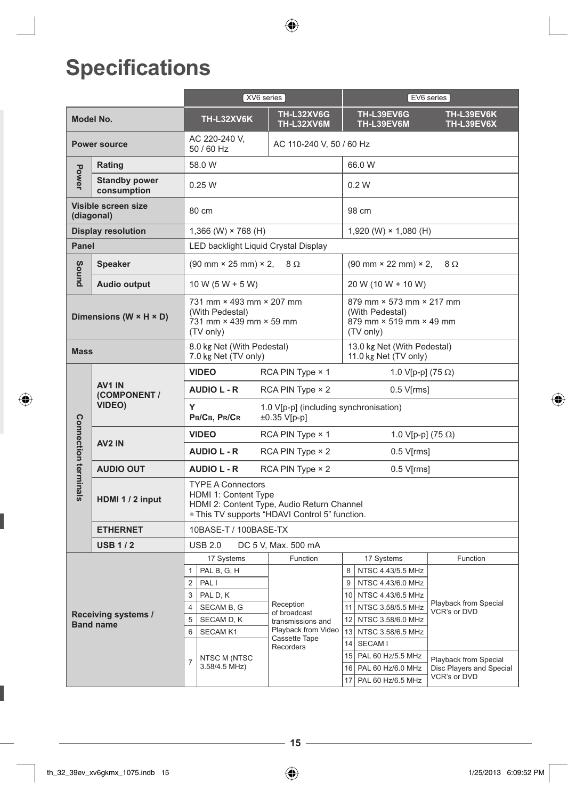$\bigoplus$ 

# **Specifications**

|                      |                                                                                                                                                                                                      | XV6 series ]                                                                                                                                     |                                               |                                          | [EV6 series]                                                   |                                                   |                       |  |  |  |
|----------------------|------------------------------------------------------------------------------------------------------------------------------------------------------------------------------------------------------|--------------------------------------------------------------------------------------------------------------------------------------------------|-----------------------------------------------|------------------------------------------|----------------------------------------------------------------|---------------------------------------------------|-----------------------|--|--|--|
|                      | Model No.                                                                                                                                                                                            | TH-L32XV6K                                                                                                                                       |                                               | <b>TH-L32XV6G</b><br><b>TH-L32XV6M</b>   | <b>TH-L39EV6G</b><br>TH-L39EV6K<br>TH-L39EV6M<br>TH-L39EV6X    |                                                   |                       |  |  |  |
|                      | <b>Power source</b>                                                                                                                                                                                  | AC 220-240 V,<br>50 / 60 Hz                                                                                                                      |                                               | AC 110-240 V, 50 / 60 Hz                 |                                                                |                                                   |                       |  |  |  |
|                      | Rating                                                                                                                                                                                               | 58.0 W                                                                                                                                           |                                               |                                          |                                                                | 66.0 W                                            |                       |  |  |  |
| Power                | <b>Standby power</b><br>consumption                                                                                                                                                                  | 0.25W                                                                                                                                            |                                               |                                          | 0.2 W                                                          |                                                   |                       |  |  |  |
|                      | Visible screen size<br>(diagonal)                                                                                                                                                                    | 80 cm                                                                                                                                            |                                               |                                          |                                                                | 98 cm                                             |                       |  |  |  |
|                      | <b>Display resolution</b>                                                                                                                                                                            | 1,366 (W) $\times$ 768 (H)                                                                                                                       |                                               |                                          | 1,920 (W) $\times$ 1,080 (H)                                   |                                                   |                       |  |  |  |
| Panel                |                                                                                                                                                                                                      | LED backlight Liquid Crystal Display                                                                                                             |                                               |                                          |                                                                |                                                   |                       |  |  |  |
| Sound                | <b>Speaker</b>                                                                                                                                                                                       | $(90 \text{ mm} \times 25 \text{ mm}) \times 2$ ,                                                                                                |                                               | 8Ω                                       | $(90 \text{ mm} \times 22 \text{ mm}) \times 2$ ,<br>$8\Omega$ |                                                   |                       |  |  |  |
|                      | <b>Audio output</b>                                                                                                                                                                                  | $10 W (5 W + 5 W)$                                                                                                                               |                                               |                                          |                                                                | 20 W (10 W + 10 W)                                |                       |  |  |  |
|                      | 731 mm × 493 mm × 207 mm<br>879 mm × 573 mm × 217 mm<br>(With Pedestal)<br>(With Pedestal)<br>Dimensions (W × H × D)<br>731 mm × 439 mm × 59 mm<br>879 mm × 519 mm × 49 mm<br>(TV only)<br>(TV only) |                                                                                                                                                  |                                               |                                          |                                                                |                                                   |                       |  |  |  |
| <b>Mass</b>          |                                                                                                                                                                                                      | 8.0 kg Net (With Pedestal)<br>7.0 kg Net (TV only)                                                                                               |                                               |                                          | 13.0 kg Net (With Pedestal)<br>11.0 kg Net (TV only)           |                                                   |                       |  |  |  |
|                      |                                                                                                                                                                                                      | <b>VIDEO</b>                                                                                                                                     |                                               | RCA PIN Type $\times$ 1                  |                                                                | 1.0 V[p-p] $(75 \Omega)$                          |                       |  |  |  |
|                      | AV <sub>1</sub> IN<br>(COMPONENT /                                                                                                                                                                   | <b>AUDIO L - R</b>                                                                                                                               | $RCA$ PIN Type $\times$ 2<br>$0.5$ V[ $rms$ ] |                                          |                                                                |                                                   |                       |  |  |  |
|                      | <b>VIDEO)</b>                                                                                                                                                                                        | Y<br>1.0 V[p-p] (including synchronisation)<br>PB/CB, PR/CR<br>±0.35 V[p-p]                                                                      |                                               |                                          |                                                                |                                                   |                       |  |  |  |
|                      |                                                                                                                                                                                                      | <b>VIDEO</b><br>RCA PIN Type $\times$ 1                                                                                                          |                                               |                                          |                                                                | 1.0 V[p-p] (75 $\Omega$ )                         |                       |  |  |  |
|                      | AV <sub>2</sub> IN                                                                                                                                                                                   | <b>AUDIO L - R</b>                                                                                                                               | RCA PIN Type $\times$ 2                       |                                          |                                                                |                                                   | $0.5$ V[ $rms$ ]      |  |  |  |
|                      | <b>AUDIO OUT</b>                                                                                                                                                                                     | <b>AUDIO L - R</b>                                                                                                                               |                                               | $RCA$ PIN Type $\times$ 2                | $0.5$ V[ $rms$ ]                                               |                                                   |                       |  |  |  |
| Connection terminals | HDMI 1 / 2 input                                                                                                                                                                                     | <b>TYPE A Connectors</b><br>HDMI 1: Content Type<br>HDMI 2: Content Type, Audio Return Channel<br>. This TV supports "HDAVI Control 5" function. |                                               |                                          |                                                                |                                                   |                       |  |  |  |
|                      | <b>ETHERNET</b>                                                                                                                                                                                      | 10BASE-T / 100BASE-TX                                                                                                                            |                                               |                                          |                                                                |                                                   |                       |  |  |  |
|                      | <b>USB 1/2</b>                                                                                                                                                                                       | <b>USB 2.0</b>                                                                                                                                   |                                               | DC 5 V, Max. 500 mA                      |                                                                |                                                   |                       |  |  |  |
|                      |                                                                                                                                                                                                      | 17 Systems                                                                                                                                       |                                               | Function                                 |                                                                | 17 Systems                                        | Function              |  |  |  |
|                      |                                                                                                                                                                                                      | PAL B, G, H<br>$\mathbf{1}$                                                                                                                      |                                               |                                          |                                                                | 8 NTSC 4.43/5.5 MHz                               |                       |  |  |  |
|                      |                                                                                                                                                                                                      | $\overline{2}$<br>PAL I                                                                                                                          |                                               |                                          | 9                                                              | NTSC 4.43/6.0 MHz                                 | Playback from Special |  |  |  |
|                      |                                                                                                                                                                                                      | 3<br>PAL D, K<br>$\overline{4}$                                                                                                                  |                                               | Reception                                |                                                                | 10 NTSC 4.43/6.5 MHz                              |                       |  |  |  |
|                      | Receiving systems /                                                                                                                                                                                  | SECAM B, G<br>of broadcast<br>5<br>SECAM D, K                                                                                                    |                                               |                                          | 11 NTSC 3.58/5.5 MHz<br>12 NTSC 3.58/6.0 MHz                   | VCR's or DVD                                      |                       |  |  |  |
|                      | <b>Band name</b>                                                                                                                                                                                     | 6<br><b>SECAM K1</b>                                                                                                                             |                                               | transmissions and<br>Playback from Video |                                                                | 13 NTSC 3.58/6.5 MHz                              |                       |  |  |  |
|                      |                                                                                                                                                                                                      |                                                                                                                                                  |                                               | Cassette Tape                            |                                                                | 14 SECAM I                                        |                       |  |  |  |
|                      |                                                                                                                                                                                                      | NTSC M (NTSC                                                                                                                                     | Recorders                                     |                                          | 15 PAL 60 Hz/5.5 MHz                                           |                                                   |                       |  |  |  |
|                      |                                                                                                                                                                                                      | $\overline{7}$<br>3.58/4.5 MHz)                                                                                                                  |                                               |                                          | 16 PAL 60 Hz/6.0 MHz                                           | Playback from Special<br>Disc Players and Special |                       |  |  |  |
|                      |                                                                                                                                                                                                      |                                                                                                                                                  |                                               |                                          |                                                                | 17 PAL 60 Hz/6.5 MHz                              | VCR's or DVD          |  |  |  |

**15**

 $\bigcirc$ 

 $\bigcirc$